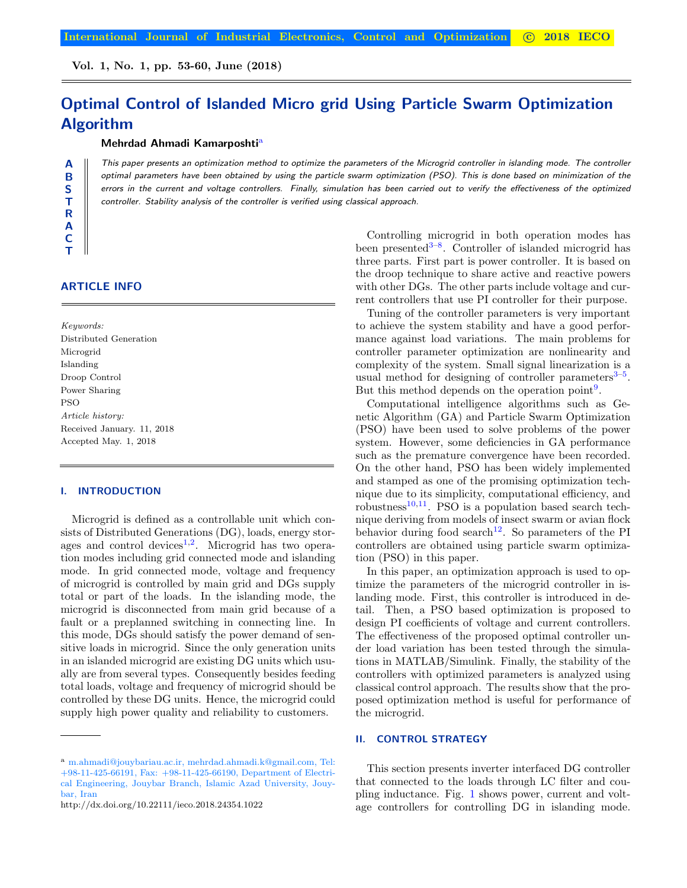# Optimal Control of Islanded Micro grid Using Particle Swarm Optimization Algorithm

# Mehrdad Ahmadi Kamarposhti[a\)](#page-0-0)

This paper presents an optimization method to optimize the parameters of the Microgrid controller in islanding mode. The controller optimal parameters have been obtained by using the particle swarm optimization (PSO). This is done based on minimization of the errors in the current and voltage controllers. Finally, simulation has been carried out to verify the effectiveness of the optimized controller. Stability analysis of the controller is verified using classical approach.

# ARTICLE INFO

A B S T R A C T

Keywords: Distributed Generation Microgrid Islanding Droop Control Power Sharing PSO Article history: Received January. 11, 2018 Accepted May. 1, 2018

#### **INTRODUCTION**

Microgrid is defined as a controllable unit which consists of Distributed Generations (DG), loads, energy stor-ages and control devices<sup>[1,](#page-5-0)[2](#page-5-1)</sup>. Microgrid has two operation modes including grid connected mode and islanding mode. In grid connected mode, voltage and frequency of microgrid is controlled by main grid and DGs supply total or part of the loads. In the islanding mode, the microgrid is disconnected from main grid because of a fault or a preplanned switching in connecting line. In this mode, DGs should satisfy the power demand of sensitive loads in microgrid. Since the only generation units in an islanded microgrid are existing DG units which usually are from several types. Consequently besides feeding total loads, voltage and frequency of microgrid should be controlled by these DG units. Hence, the microgrid could supply high power quality and reliability to customers.

Controlling microgrid in both operation modes has been presented<sup>[3](#page-5-2)-8</sup>. Controller of islanded microgrid has three parts. First part is power controller. It is based on the droop technique to share active and reactive powers with other DGs. The other parts include voltage and current controllers that use PI controller for their purpose.

Tuning of the controller parameters is very important to achieve the system stability and have a good performance against load variations. The main problems for controller parameter optimization are nonlinearity and complexity of the system. Small signal linearization is a usual method for designing of controller parameters<sup>3-[5](#page-6-0)</sup>. But this method depends on the operation point<sup>[9](#page-7-1)</sup>.

Computational intelligence algorithms such as Genetic Algorithm (GA) and Particle Swarm Optimization (PSO) have been used to solve problems of the power system. However, some deficiencies in GA performance such as the premature convergence have been recorded. On the other hand, PSO has been widely implemented and stamped as one of the promising optimization technique due to its simplicity, computational efficiency, and robustness<sup>[10,](#page-7-2)[11](#page-7-3)</sup>. PSO is a population based search technique deriving from models of insect swarm or avian flock behavior during food search<sup>[12](#page-7-4)</sup>. So parameters of the PI controllers are obtained using particle swarm optimization (PSO) in this paper.

In this paper, an optimization approach is used to optimize the parameters of the microgrid controller in islanding mode. First, this controller is introduced in detail. Then, a PSO based optimization is proposed to design PI coefficients of voltage and current controllers. The effectiveness of the proposed optimal controller under load variation has been tested through the simulations in MATLAB/Simulink. Finally, the stability of the controllers with optimized parameters is analyzed using classical control approach. The results show that the proposed optimization method is useful for performance of the microgrid.

# II. CONTROL STRATEGY

This section presents inverter interfaced DG controller that connected to the loads through LC filter and coupling inductance. Fig. [1](#page-1-0) shows power, current and voltage controllers for controlling DG in islanding mode.

<span id="page-0-0"></span>a m.ahmadi@jouybariau.ac.ir, mehrdad.ahmadi.k@gmail.com, Tel: +98-11-425-66191, Fax: +98-11-425-66190, Department of Electrical Engineering, Jouybar Branch, Islamic Azad University, Jouybar, Iran

http://dx.doi.org/10.22111/ieco.2018.24354.1022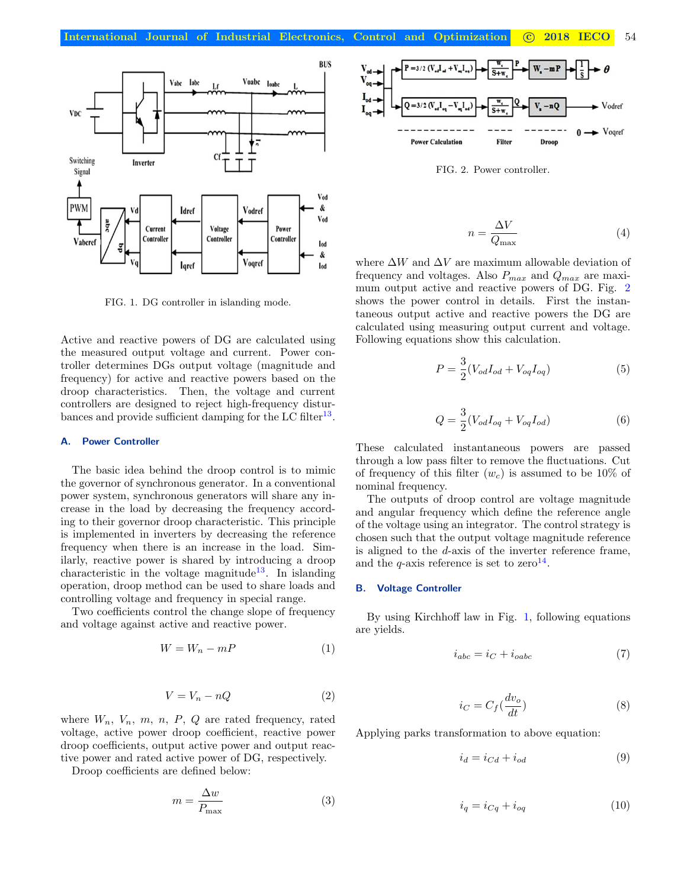

<span id="page-1-0"></span>FIG. 1. DG controller in islanding mode.

Active and reactive powers of DG are calculated using the measured output voltage and current. Power controller determines DGs output voltage (magnitude and frequency) for active and reactive powers based on the droop characteristics. Then, the voltage and current controllers are designed to reject high-frequency distur-bances and provide sufficient damping for the LC filter<sup>[13](#page-7-5)</sup>.

## A. Power Controller

The basic idea behind the droop control is to mimic the governor of synchronous generator. In a conventional power system, synchronous generators will share any increase in the load by decreasing the frequency according to their governor droop characteristic. This principle is implemented in inverters by decreasing the reference frequency when there is an increase in the load. Similarly, reactive power is shared by introducing a droop characteristic in the voltage magnitude<sup>[13](#page-7-5)</sup>. In islanding operation, droop method can be used to share loads and controlling voltage and frequency in special range.

Two coefficients control the change slope of frequency and voltage against active and reactive power.

$$
W = W_n - mP \tag{1}
$$

$$
V = V_n - nQ \tag{2}
$$

where  $W_n$ ,  $V_n$ ,  $m$ ,  $n$ ,  $P$ ,  $Q$  are rated frequency, rated voltage, active power droop coefficient, reactive power droop coefficients, output active power and output reactive power and rated active power of DG, respectively.

Droop coefficients are defined below:

$$
m = \frac{\Delta w}{P_{\text{max}}} \tag{3}
$$



<span id="page-1-1"></span>FIG. 2. Power controller.

$$
n = \frac{\Delta V}{Q_{\text{max}}} \tag{4}
$$

where  $\Delta W$  and  $\Delta V$  are maximum allowable deviation of frequency and voltages. Also  $P_{max}$  and  $Q_{max}$  are maximum output active and reactive powers of DG. Fig. [2](#page-1-1) shows the power control in details. First the instantaneous output active and reactive powers the DG are calculated using measuring output current and voltage. Following equations show this calculation.

$$
P = \frac{3}{2}(V_{od}I_{od} + V_{og}I_{og})
$$
\n(5)

$$
Q = \frac{3}{2}(V_{od}I_{og} + V_{og}I_{od})
$$
\n(6)

These calculated instantaneous powers are passed through a low pass filter to remove the fluctuations. Cut of frequency of this filter  $(w_c)$  is assumed to be 10% of nominal frequency.

The outputs of droop control are voltage magnitude and angular frequency which define the reference angle of the voltage using an integrator. The control strategy is chosen such that the output voltage magnitude reference is aligned to the d-axis of the inverter reference frame, and the  $q$ -axis reference is set to zero<sup>[14](#page-7-6)</sup>.

#### B. Voltage Controller

By using Kirchhoff law in Fig. [1,](#page-1-0) following equations are yields.

$$
i_{abc} = i_C + i_{oabc} \tag{7}
$$

$$
i_C = C_f \left(\frac{dv_o}{dt}\right) \tag{8}
$$

Applying parks transformation to above equation:

$$
i_d = i_{Cd} + i_{od} \tag{9}
$$

$$
i_q = i_{Cq} + i_{oq} \tag{10}
$$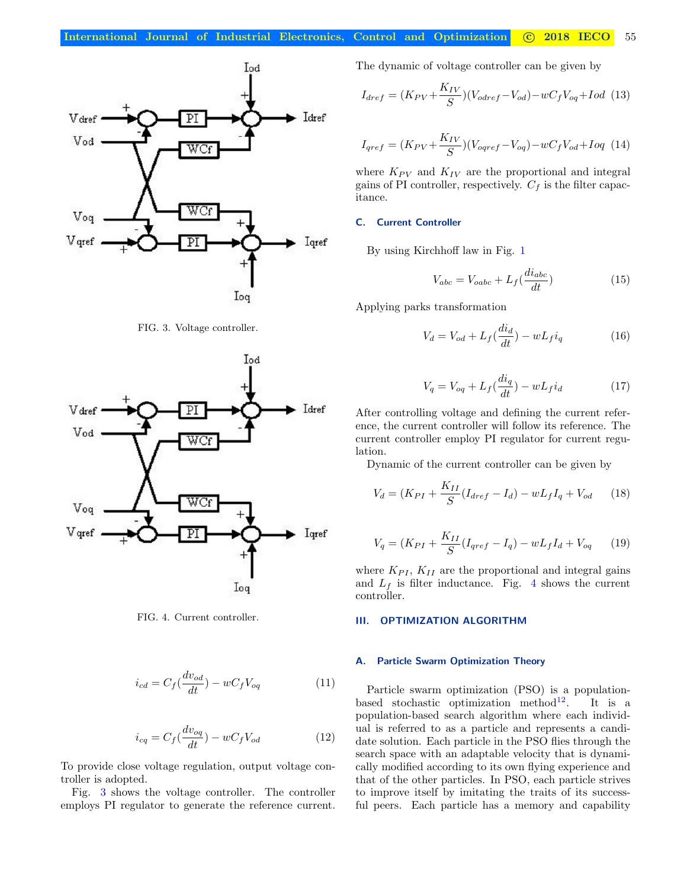

<span id="page-2-0"></span>FIG. 3. Voltage controller.



<span id="page-2-1"></span>FIG. 4. Current controller.

$$
i_{cd} = C_f \left(\frac{dv_{od}}{dt}\right) - wC_f V_{og} \tag{11}
$$

$$
i_{cq} = C_f \left(\frac{dv_{oq}}{dt}\right) - wC_f V_{od} \tag{12}
$$

To provide close voltage regulation, output voltage controller is adopted.

Fig. [3](#page-2-0) shows the voltage controller. The controller employs PI regulator to generate the reference current. The dynamic of voltage controller can be given by

$$
I_{dref} = (K_{PV} + \frac{K_{IV}}{S})(V_{odref} - V_{od}) - wC_f V_{oq} + Iod
$$
 (13)

$$
I_{qref} = (K_{PV} + \frac{K_{IV}}{S})(V_{oqref} - V_{oq}) - wC_f V_{od} + I oq
$$
 (14)

where  $K_{PV}$  and  $K_{IV}$  are the proportional and integral gains of PI controller, respectively.  $C_f$  is the filter capacitance.

# C. Current Controller

By using Kirchhoff law in Fig. [1](#page-1-0)

$$
V_{abc} = V_{oabc} + L_f(\frac{di_{abc}}{dt})
$$
\n(15)

Applying parks transformation

$$
V_d = V_{od} + L_f \left(\frac{di_d}{dt}\right) - w L_f i_q \tag{16}
$$

$$
V_q = V_{oq} + L_f \left(\frac{di_q}{dt}\right) - wL_f i_d \tag{17}
$$

After controlling voltage and defining the current reference, the current controller will follow its reference. The current controller employ PI regulator for current regulation.

Dynamic of the current controller can be given by

$$
V_d = (K_{PI} + \frac{K_{II}}{S}(I_{dref} - I_d) - wL_f I_q + V_{od} \qquad (18)
$$

$$
V_q = (K_{PI} + \frac{K_{II}}{S}(I_{qref} - I_q) - wL_f I_d + V_{oq} \qquad (19)
$$

where  $K_{PI}$ ,  $K_{II}$  are the proportional and integral gains and  $L_f$  is filter inductance. Fig. [4](#page-2-1) shows the current controller.

#### III. OPTIMIZATION ALGORITHM

## A. Particle Swarm Optimization Theory

Particle swarm optimization (PSO) is a population-based stochastic optimization method<sup>[12](#page-7-4)</sup>. It is a population-based search algorithm where each individual is referred to as a particle and represents a candidate solution. Each particle in the PSO flies through the search space with an adaptable velocity that is dynamically modified according to its own flying experience and that of the other particles. In PSO, each particle strives to improve itself by imitating the traits of its successful peers. Each particle has a memory and capability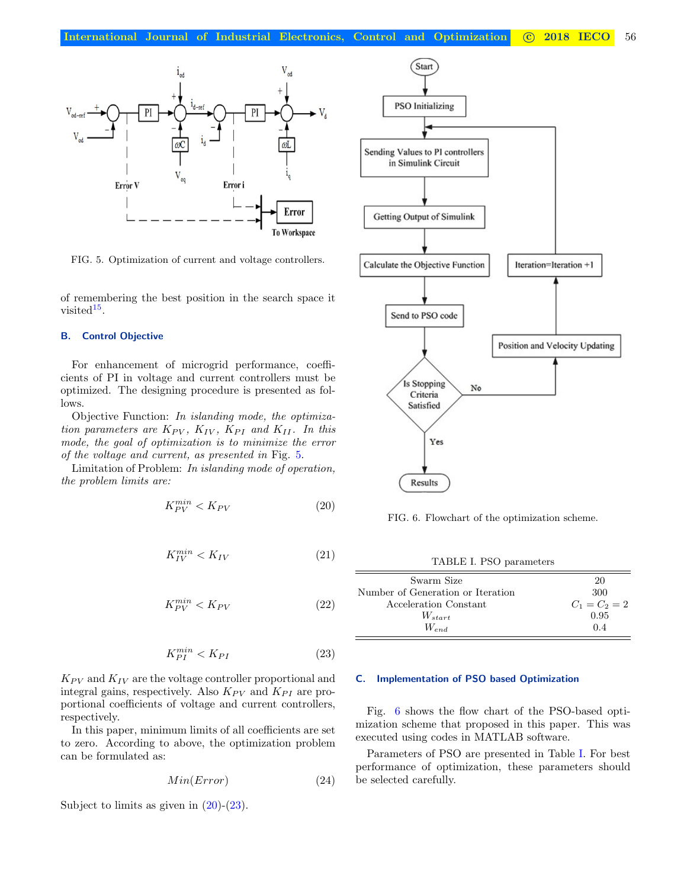

<span id="page-3-0"></span>FIG. 5. Optimization of current and voltage controllers.

of remembering the best position in the search space it  $visted$ <sup>[15](#page-7-7)</sup>.

#### B. Control Objective

For enhancement of microgrid performance, coefficients of PI in voltage and current controllers must be optimized. The designing procedure is presented as follows.

Objective Function: In islanding mode, the optimization parameters are  $K_{PV}$ ,  $K_{IV}$ ,  $K_{PI}$  and  $K_{II}$ . In this mode, the goal of optimization is to minimize the error of the voltage and current, as presented in Fig. [5.](#page-3-0)

Limitation of Problem: In islanding mode of operation, the problem limits are:

<span id="page-3-1"></span>
$$
K_{PV}^{min} < K_{PV} \tag{20}
$$

$$
K_{IV}^{min} < K_{IV} \tag{21}
$$

$$
K_{PV}^{min} < K_{PV} \tag{22}
$$

$$
K_{PI}^{min} < K_{PI} \tag{23}
$$

<span id="page-3-2"></span> $K_{PV}$  and  $K_{IV}$  are the voltage controller proportional and integral gains, respectively. Also  $K_{PV}$  and  $K_{PI}$  are proportional coefficients of voltage and current controllers, respectively.

In this paper, minimum limits of all coefficients are set to zero. According to above, the optimization problem can be formulated as:

$$
Min(Error) \tag{24}
$$

Subject to limits as given in  $(20)-(23)$  $(20)-(23)$  $(20)-(23)$ .



<span id="page-3-3"></span>FIG. 6. Flowchart of the optimization scheme.

<span id="page-3-4"></span>TABLE I. PSO parameters

| Swarm Size                        | 20              |
|-----------------------------------|-----------------|
| Number of Generation or Iteration | 300             |
| Acceleration Constant             | $C_1 = C_2 = 2$ |
| $W_{start}$                       | 0.95            |
| $W_{end}$                         | 04              |

## C. Implementation of PSO based Optimization

Fig. [6](#page-3-3) shows the flow chart of the PSO-based optimization scheme that proposed in this paper. This was executed using codes in MATLAB software.

Parameters of PSO are presented in Table [I.](#page-3-4) For best performance of optimization, these parameters should be selected carefully.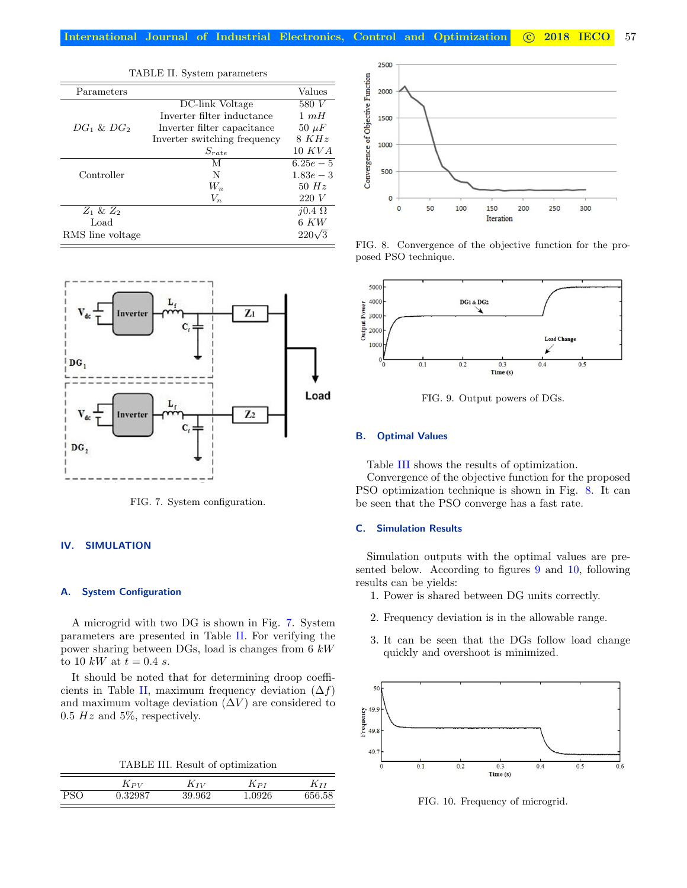<span id="page-4-1"></span>

| TABLE II. System parameters |                              |                |  |  |  |
|-----------------------------|------------------------------|----------------|--|--|--|
| Parameters                  |                              | Values         |  |  |  |
|                             | DC-link Voltage              | 580 V          |  |  |  |
|                             | Inverter filter inductance   | $1 \, mH$      |  |  |  |
| $DG_1 \& DG_2$              | Inverter filter capacitance  | $50 \mu F$     |  |  |  |
|                             | Inverter switching frequency | 8KHz           |  |  |  |
|                             | $S_{rate}$                   | 10 KVA         |  |  |  |
|                             | М                            | $6.25e-5$      |  |  |  |
| Controller                  | N                            | $1.83e - 3$    |  |  |  |
|                             | $W_n$                        | 50 $Hz$        |  |  |  |
|                             | $V_n$                        | 220V           |  |  |  |
| $Z_1$ & $Z_2$               |                              | $i0.4\ \Omega$ |  |  |  |
| Load                        |                              | $6 \, KW$      |  |  |  |
| RMS line voltage            |                              | $220\sqrt{3}$  |  |  |  |



<span id="page-4-0"></span>FIG. 7. System configuration.

# IV. SIMULATION

## A. System Configuration

A microgrid with two DG is shown in Fig. [7.](#page-4-0) System parameters are presented in Table [II.](#page-4-1) For verifying the power sharing between DGs, load is changes from 6 kW to 10 kW at  $t = 0.4$  s.

It should be noted that for determining droop coeffi-cients in Table [II,](#page-4-1) maximum frequency deviation  $(\Delta f)$ and maximum voltage deviation  $(\Delta V)$  are considered to  $0.5$  Hz and 5%, respectively.

<span id="page-4-2"></span>TABLE III. Result of optimization

|     | $K_{PV}$        | $K_{IV}$ | $\Lambda$ PI | 1 Y T  |
|-----|-----------------|----------|--------------|--------|
| חסי | 39087<br>יכ∡ט.ט | 39.962   | .0926        | 656.58 |



<span id="page-4-3"></span>FIG. 8. Convergence of the objective function for the proposed PSO technique.



<span id="page-4-4"></span>FIG. 9. Output powers of DGs.

## B. Optimal Values

Table [III](#page-4-2) shows the results of optimization.

Convergence of the objective function for the proposed PSO optimization technique is shown in Fig. [8.](#page-4-3) It can be seen that the PSO converge has a fast rate.

## C. Simulation Results

Simulation outputs with the optimal values are presented below. According to figures [9](#page-4-4) and [10,](#page-4-5) following results can be yields:

- 1. Power is shared between DG units correctly.
- 2. Frequency deviation is in the allowable range.
- 3. It can be seen that the DGs follow load change quickly and overshoot is minimized.



<span id="page-4-5"></span>FIG. 10. Frequency of microgrid.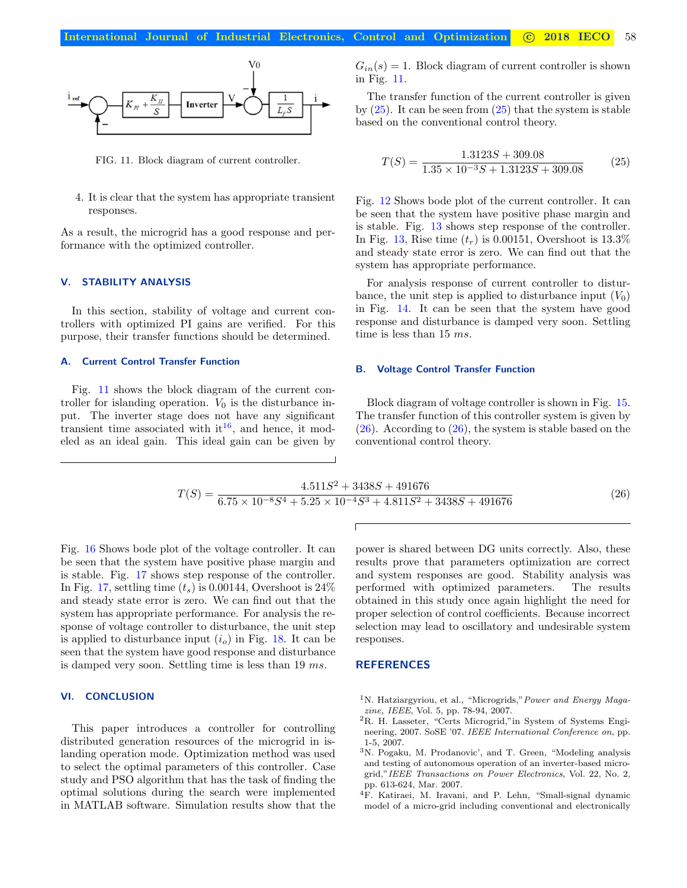

<span id="page-5-3"></span>FIG. 11. Block diagram of current controller.

4. It is clear that the system has appropriate transient responses.

As a result, the microgrid has a good response and performance with the optimized controller.

## V. STABILITY ANALYSIS

In this section, stability of voltage and current controllers with optimized PI gains are verified. For this purpose, their transfer functions should be determined.

#### A. Current Control Transfer Function

Fig. [11](#page-5-3) shows the block diagram of the current controller for islanding operation.  $V_0$  is the disturbance input. The inverter stage does not have any significant transient time associated with  $it^{16}$  $it^{16}$  $it^{16}$ , and hence, it modeled as an ideal gain. This ideal gain can be given by  $G_{in}(s) = 1$ . Block diagram of current controller is shown in Fig. [11.](#page-5-3)

The transfer function of the current controller is given by  $(25)$ . It can be seen from  $(25)$  that the system is stable based on the conventional control theory.

<span id="page-5-4"></span>
$$
T(S) = \frac{1.3123S + 309.08}{1.35 \times 10^{-3}S + 1.3123S + 309.08}
$$
 (25)

Fig. [12](#page-6-1) Shows bode plot of the current controller. It can be seen that the system have positive phase margin and is stable. Fig. [13](#page-6-2) shows step response of the controller. In Fig. [13,](#page-6-2) Rise time  $(t_r)$  is 0.00151, Overshoot is 13.3% and steady state error is zero. We can find out that the system has appropriate performance.

For analysis response of current controller to disturbance, the unit step is applied to disturbance input  $(V_0)$ in Fig. [14.](#page-6-3) It can be seen that the system have good response and disturbance is damped very soon. Settling time is less than 15 ms.

#### B. Voltage Control Transfer Function

Block diagram of voltage controller is shown in Fig. [15.](#page-6-4) The transfer function of this controller system is given by  $(26)$ . According to  $(26)$ , the system is stable based on the conventional control theory.

$$
T(S) = \frac{4.511S^2 + 3438S + 491676}{6.75 \times 10^{-8}S^4 + 5.25 \times 10^{-4}S^3 + 4.811S^2 + 3438S + 491676} \tag{26}
$$

<span id="page-5-5"></span>Fig. [16](#page-6-5) Shows bode plot of the voltage controller. It can be seen that the system have positive phase margin and is stable. Fig. [17](#page-6-6) shows step response of the controller. In Fig. [17,](#page-6-6) settling time  $(t_s)$  is 0.00144, Overshoot is 24% and steady state error is zero. We can find out that the system has appropriate performance. For analysis the response of voltage controller to disturbance, the unit step is applied to disturbance input  $(i<sub>o</sub>)$  in Fig. [18.](#page-6-7) It can be seen that the system have good response and disturbance is damped very soon. Settling time is less than 19 ms.

# VI. CONCLUSION

This paper introduces a controller for controlling distributed generation resources of the microgrid in islanding operation mode. Optimization method was used to select the optimal parameters of this controller. Case study and PSO algorithm that has the task of finding the optimal solutions during the search were implemented in MATLAB software. Simulation results show that the

power is shared between DG units correctly. Also, these results prove that parameters optimization are correct and system responses are good. Stability analysis was performed with optimized parameters. The results obtained in this study once again highlight the need for proper selection of control coefficients. Because incorrect selection may lead to oscillatory and undesirable system responses.

# **REFERENCES**

- <span id="page-5-0"></span><sup>1</sup>N. Hatziargyriou, et al., "Microgrids," Power and Energy Magazine, IEEE, Vol. 5, pp. 78-94, 2007.
- <span id="page-5-1"></span><sup>2</sup>R. H. Lasseter, "Certs Microgrid,"in System of Systems Engineering, 2007. SoSE '07. IEEE International Conference on, pp. 1-5, 2007.
- <span id="page-5-2"></span><sup>3</sup>N. Pogaku, M. Prodanovic', and T. Green, "Modeling analysis and testing of autonomous operation of an inverter-based microgrid,"IEEE Transactions on Power Electronics, Vol. 22, No. 2, pp. 613-624, Mar. 2007.
- <sup>4</sup>F. Katiraei, M. Iravani, and P. Lehn, "Small-signal dynamic model of a micro-grid including conventional and electronically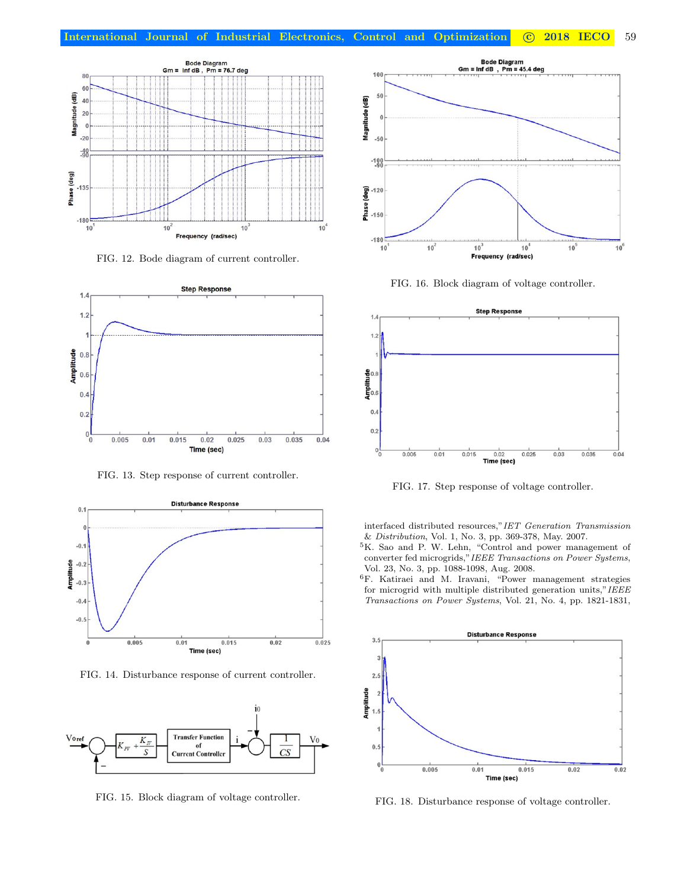

<span id="page-6-1"></span>FIG. 12. Bode diagram of current controller.



<span id="page-6-2"></span>FIG. 13. Step response of current controller.



<span id="page-6-3"></span>FIG. 14. Disturbance response of current controller.



<span id="page-6-4"></span>FIG. 15. Block diagram of voltage controller.



<span id="page-6-5"></span>FIG. 16. Block diagram of voltage controller.



<span id="page-6-6"></span>FIG. 17. Step response of voltage controller.

interfaced distributed resources,"IET Generation Transmission & Distribution, Vol. 1, No. 3, pp. 369-378, May. 2007.

- <span id="page-6-0"></span><sup>5</sup>K. Sao and P. W. Lehn, "Control and power management of converter fed microgrids,"IEEE Transactions on Power Systems, Vol. 23, No. 3, pp. 1088-1098, Aug. 2008.
- <sup>6</sup>F. Katiraei and M. Iravani, "Power management strategies for microgrid with multiple distributed generation units,"IEEE Transactions on Power Systems, Vol. 21, No. 4, pp. 1821-1831,



<span id="page-6-7"></span>FIG. 18. Disturbance response of voltage controller.